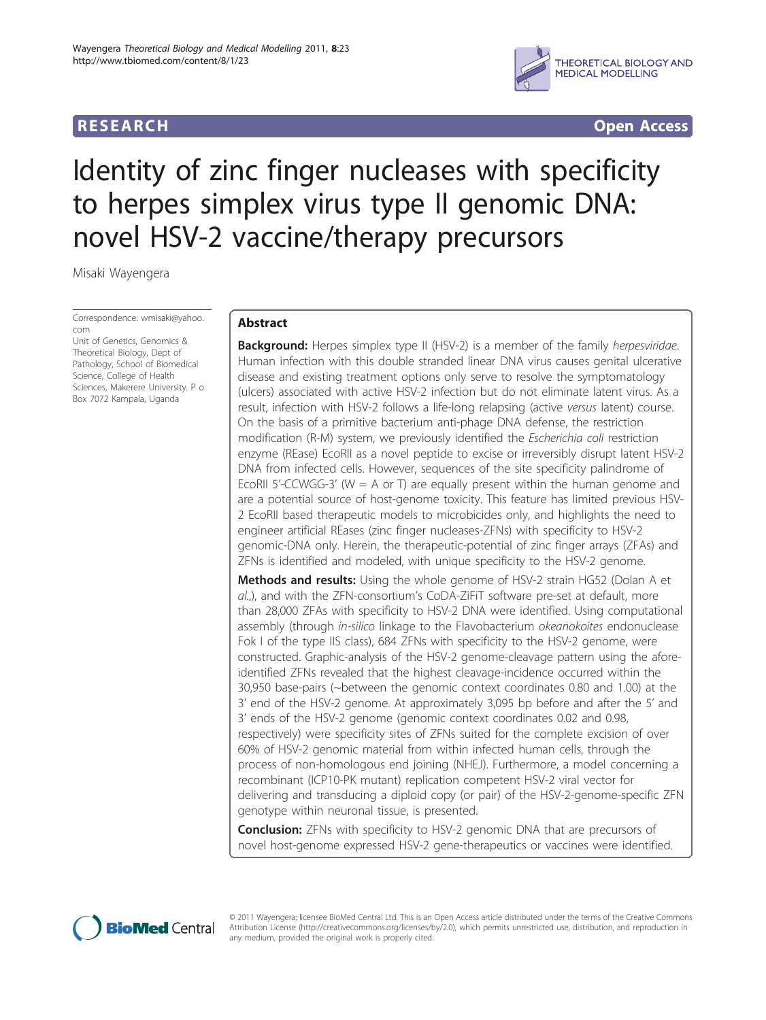

**RESEARCH CONSTRUCTION CONSTRUCTS** 

# Identity of zinc finger nucleases with specificity to herpes simplex virus type II genomic DNA: novel HSV-2 vaccine/therapy precursors

Misaki Wayengera

Correspondence: [wmisaki@yahoo.](mailto:wmisaki@yahoo.com) [com](mailto:wmisaki@yahoo.com)

Unit of Genetics, Genomics & Theoretical Biology, Dept of Pathology, School of Biomedical Science, College of Health Sciences, Makerere University. P o Box 7072 Kampala, Uganda

# Abstract

**Background:** Herpes simplex type II (HSV-2) is a member of the family *herpesviridae*. Human infection with this double stranded linear DNA virus causes genital ulcerative disease and existing treatment options only serve to resolve the symptomatology (ulcers) associated with active HSV-2 infection but do not eliminate latent virus. As a result, infection with HSV-2 follows a life-long relapsing (active versus latent) course. On the basis of a primitive bacterium anti-phage DNA defense, the restriction modification (R-M) system, we previously identified the Escherichia coli restriction enzyme (REase) EcoRII as a novel peptide to excise or irreversibly disrupt latent HSV-2 DNA from infected cells. However, sequences of the site specificity palindrome of EcoRII 5'-CCWGG-3' ( $W = A$  or T) are equally present within the human genome and are a potential source of host-genome toxicity. This feature has limited previous HSV-2 EcoRII based therapeutic models to microbicides only, and highlights the need to engineer artificial REases (zinc finger nucleases-ZFNs) with specificity to HSV-2 genomic-DNA only. Herein, the therapeutic-potential of zinc finger arrays (ZFAs) and ZFNs is identified and modeled, with unique specificity to the HSV-2 genome.

**Methods and results:** Using the whole genome of HSV-2 strain HG52 (Dolan A et al.,), and with the ZFN-consortium's CoDA-ZiFiT software pre-set at default, more than 28,000 ZFAs with specificity to HSV-2 DNA were identified. Using computational assembly (through in-silico linkage to the Flavobacterium okeanokoites endonuclease Fok I of the type IIS class), 684 ZFNs with specificity to the HSV-2 genome, were constructed. Graphic-analysis of the HSV-2 genome-cleavage pattern using the aforeidentified ZFNs revealed that the highest cleavage-incidence occurred within the 30,950 base-pairs (~between the genomic context coordinates 0.80 and 1.00) at the 3' end of the HSV-2 genome. At approximately 3,095 bp before and after the 5' and 3' ends of the HSV-2 genome (genomic context coordinates 0.02 and 0.98, respectively) were specificity sites of ZFNs suited for the complete excision of over 60% of HSV-2 genomic material from within infected human cells, through the process of non-homologous end joining (NHEJ). Furthermore, a model concerning a recombinant (ICP10-PK mutant) replication competent HSV-2 viral vector for delivering and transducing a diploid copy (or pair) of the HSV-2-genome-specific ZFN genotype within neuronal tissue, is presented.

**Conclusion:** ZFNs with specificity to HSV-2 genomic DNA that are precursors of novel host-genome expressed HSV-2 gene-therapeutics or vaccines were identified.



© 2011 Wayengera; licensee BioMed Central Ltd. This is an Open Access article distributed under the terms of the Creative Commons Attribution License [\(http://creativecommons.org/licenses/by/2.0](http://creativecommons.org/licenses/by/2.0)), which permits unrestricted use, distribution, and reproduction in any medium, provided the original work is properly cited.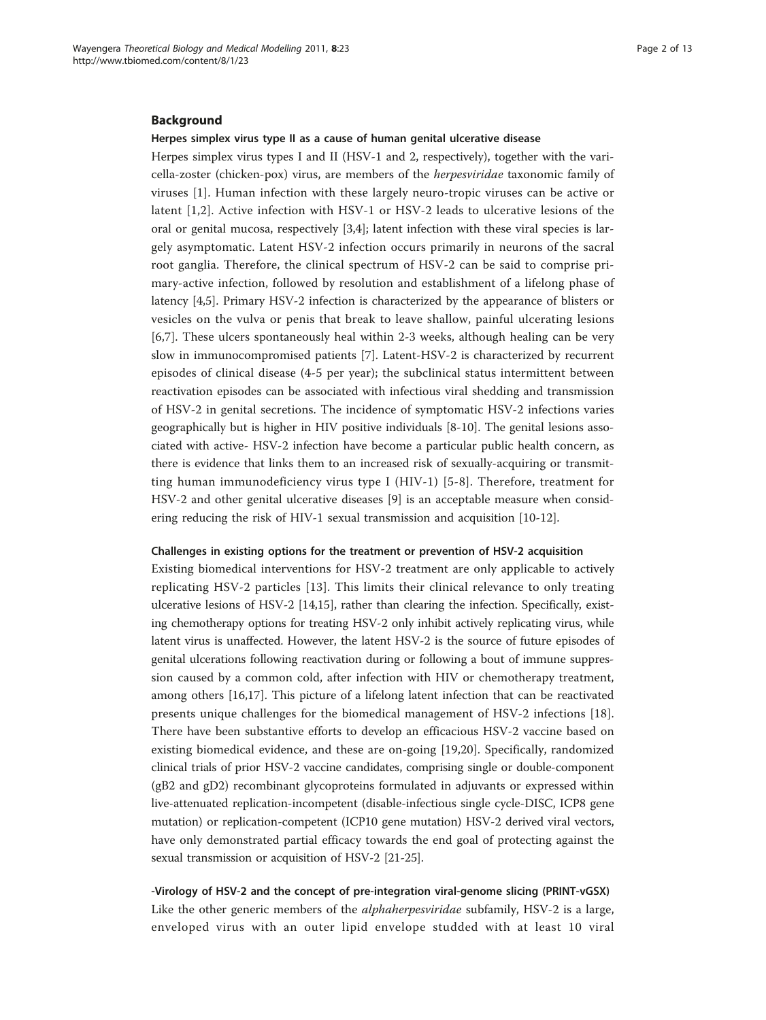# Background

### Herpes simplex virus type II as a cause of human genital ulcerative disease

Herpes simplex virus types I and II (HSV-1 and 2, respectively), together with the varicella-zoster (chicken-pox) virus, are members of the herpesviridae taxonomic family of viruses [\[1](#page-10-0)]. Human infection with these largely neuro-tropic viruses can be active or latent [\[1,2\]](#page-10-0). Active infection with HSV-1 or HSV-2 leads to ulcerative lesions of the oral or genital mucosa, respectively [[3](#page-10-0),[4](#page-10-0)]; latent infection with these viral species is largely asymptomatic. Latent HSV-2 infection occurs primarily in neurons of the sacral root ganglia. Therefore, the clinical spectrum of HSV-2 can be said to comprise primary-active infection, followed by resolution and establishment of a lifelong phase of latency [[4,5\]](#page-10-0). Primary HSV-2 infection is characterized by the appearance of blisters or vesicles on the vulva or penis that break to leave shallow, painful ulcerating lesions [[6,7\]](#page-10-0). These ulcers spontaneously heal within 2-3 weeks, although healing can be very slow in immunocompromised patients [[7\]](#page-10-0). Latent-HSV-2 is characterized by recurrent episodes of clinical disease (4-5 per year); the subclinical status intermittent between reactivation episodes can be associated with infectious viral shedding and transmission of HSV-2 in genital secretions. The incidence of symptomatic HSV-2 infections varies geographically but is higher in HIV positive individuals [\[8](#page-10-0)-[10](#page-10-0)]. The genital lesions associated with active- HSV-2 infection have become a particular public health concern, as there is evidence that links them to an increased risk of sexually-acquiring or transmitting human immunodeficiency virus type I (HIV-1) [[5](#page-10-0)-[8](#page-10-0)]. Therefore, treatment for HSV-2 and other genital ulcerative diseases [[9](#page-10-0)] is an acceptable measure when considering reducing the risk of HIV-1 sexual transmission and acquisition [[10-12\]](#page-10-0).

### Challenges in existing options for the treatment or prevention of HSV-2 acquisition

Existing biomedical interventions for HSV-2 treatment are only applicable to actively replicating HSV-2 particles [[13](#page-10-0)]. This limits their clinical relevance to only treating ulcerative lesions of HSV-2 [\[14,15\]](#page-10-0), rather than clearing the infection. Specifically, existing chemotherapy options for treating HSV-2 only inhibit actively replicating virus, while latent virus is unaffected. However, the latent HSV-2 is the source of future episodes of genital ulcerations following reactivation during or following a bout of immune suppression caused by a common cold, after infection with HIV or chemotherapy treatment, among others [[16,17\]](#page-10-0). This picture of a lifelong latent infection that can be reactivated presents unique challenges for the biomedical management of HSV-2 infections [\[18](#page-10-0)]. There have been substantive efforts to develop an efficacious HSV-2 vaccine based on existing biomedical evidence, and these are on-going [\[19,20](#page-10-0)]. Specifically, randomized clinical trials of prior HSV-2 vaccine candidates, comprising single or double-component (gB2 and gD2) recombinant glycoproteins formulated in adjuvants or expressed within live-attenuated replication-incompetent (disable-infectious single cycle-DISC, ICP8 gene mutation) or replication-competent (ICP10 gene mutation) HSV-2 derived viral vectors, have only demonstrated partial efficacy towards the end goal of protecting against the sexual transmission or acquisition of HSV-2 [[21](#page-10-0)-[25](#page-11-0)].

-Virology of HSV-2 and the concept of pre-integration viral-genome slicing (PRINT-vGSX) Like the other generic members of the *alphaherpesviridae* subfamily, HSV-2 is a large, enveloped virus with an outer lipid envelope studded with at least 10 viral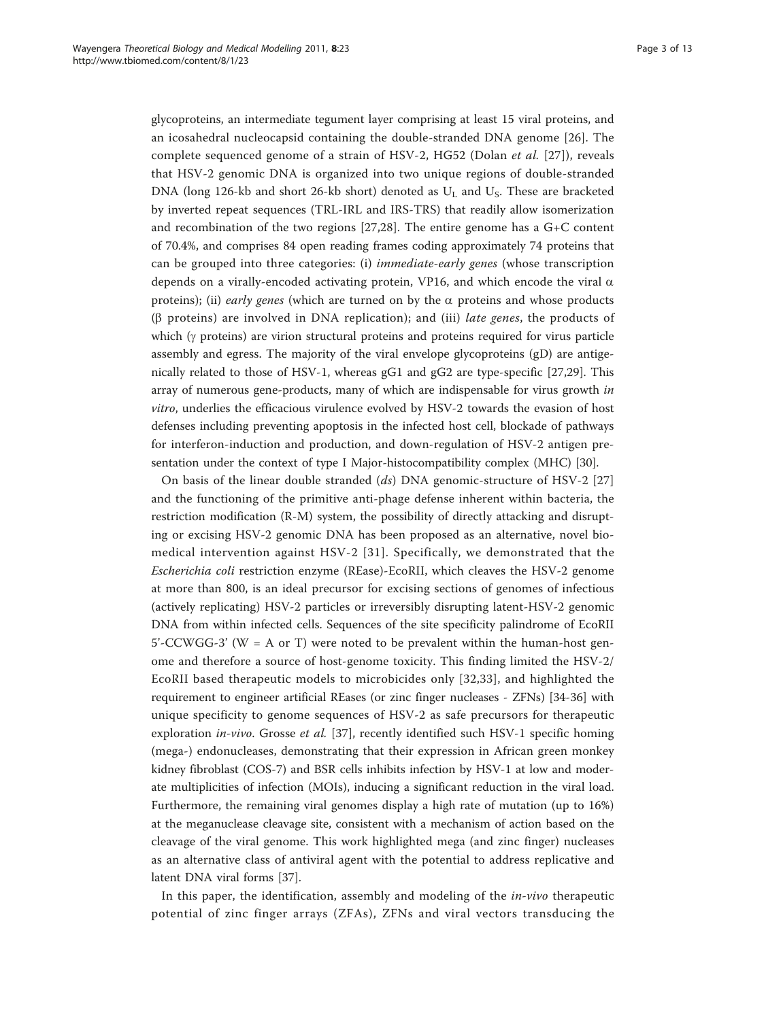glycoproteins, an intermediate tegument layer comprising at least 15 viral proteins, and an icosahedral nucleocapsid containing the double-stranded DNA genome [[26](#page-11-0)]. The complete sequenced genome of a strain of HSV-2, HG52 (Dolan *et al.* [\[27\]](#page-11-0)), reveals that HSV-2 genomic DNA is organized into two unique regions of double-stranded DNA (long 126-kb and short 26-kb short) denoted as  $U_L$  and  $U_S$ . These are bracketed by inverted repeat sequences (TRL-IRL and IRS-TRS) that readily allow isomerization and recombination of the two regions  $[27,28]$  $[27,28]$ . The entire genome has a  $G+C$  content of 70.4%, and comprises 84 open reading frames coding approximately 74 proteins that can be grouped into three categories: (i) immediate-early genes (whose transcription depends on a virally-encoded activating protein, VP16, and which encode the viral  $\alpha$ proteins); (ii) early genes (which are turned on by the  $\alpha$  proteins and whose products ( $\beta$  proteins) are involved in DNA replication); and (iii) *late genes*, the products of which  $(\gamma$  proteins) are virion structural proteins and proteins required for virus particle assembly and egress. The majority of the viral envelope glycoproteins (gD) are antigenically related to those of HSV-1, whereas gG1 and gG2 are type-specific [[27,29\]](#page-11-0). This array of numerous gene-products, many of which are indispensable for virus growth in vitro, underlies the efficacious virulence evolved by HSV-2 towards the evasion of host defenses including preventing apoptosis in the infected host cell, blockade of pathways for interferon-induction and production, and down-regulation of HSV-2 antigen presentation under the context of type I Major-histocompatibility complex (MHC) [[30\]](#page-11-0).

On basis of the linear double stranded  $(ds)$  DNA genomic-structure of HSV-2 [\[27](#page-11-0)] and the functioning of the primitive anti-phage defense inherent within bacteria, the restriction modification (R-M) system, the possibility of directly attacking and disrupting or excising HSV-2 genomic DNA has been proposed as an alternative, novel biomedical intervention against HSV-2 [[31](#page-11-0)]. Specifically, we demonstrated that the Escherichia coli restriction enzyme (REase)-EcoRII, which cleaves the HSV-2 genome at more than 800, is an ideal precursor for excising sections of genomes of infectious (actively replicating) HSV-2 particles or irreversibly disrupting latent-HSV-2 genomic DNA from within infected cells. Sequences of the site specificity palindrome of EcoRII  $5'-CCWGG-3'$  (W = A or T) were noted to be prevalent within the human-host genome and therefore a source of host-genome toxicity. This finding limited the HSV-2/ EcoRII based therapeutic models to microbicides only [[32,33\]](#page-11-0), and highlighted the requirement to engineer artificial REases (or zinc finger nucleases - ZFNs) [\[34](#page-11-0)-[36](#page-11-0)] with unique specificity to genome sequences of HSV-2 as safe precursors for therapeutic exploration *in-vivo*. Grosse *et al.* [[37\]](#page-11-0), recently identified such HSV-1 specific homing (mega-) endonucleases, demonstrating that their expression in African green monkey kidney fibroblast (COS-7) and BSR cells inhibits infection by HSV-1 at low and moderate multiplicities of infection (MOIs), inducing a significant reduction in the viral load. Furthermore, the remaining viral genomes display a high rate of mutation (up to 16%) at the meganuclease cleavage site, consistent with a mechanism of action based on the cleavage of the viral genome. This work highlighted mega (and zinc finger) nucleases as an alternative class of antiviral agent with the potential to address replicative and latent DNA viral forms [\[37](#page-11-0)].

In this paper, the identification, assembly and modeling of the  $in$ -vivo therapeutic potential of zinc finger arrays (ZFAs), ZFNs and viral vectors transducing the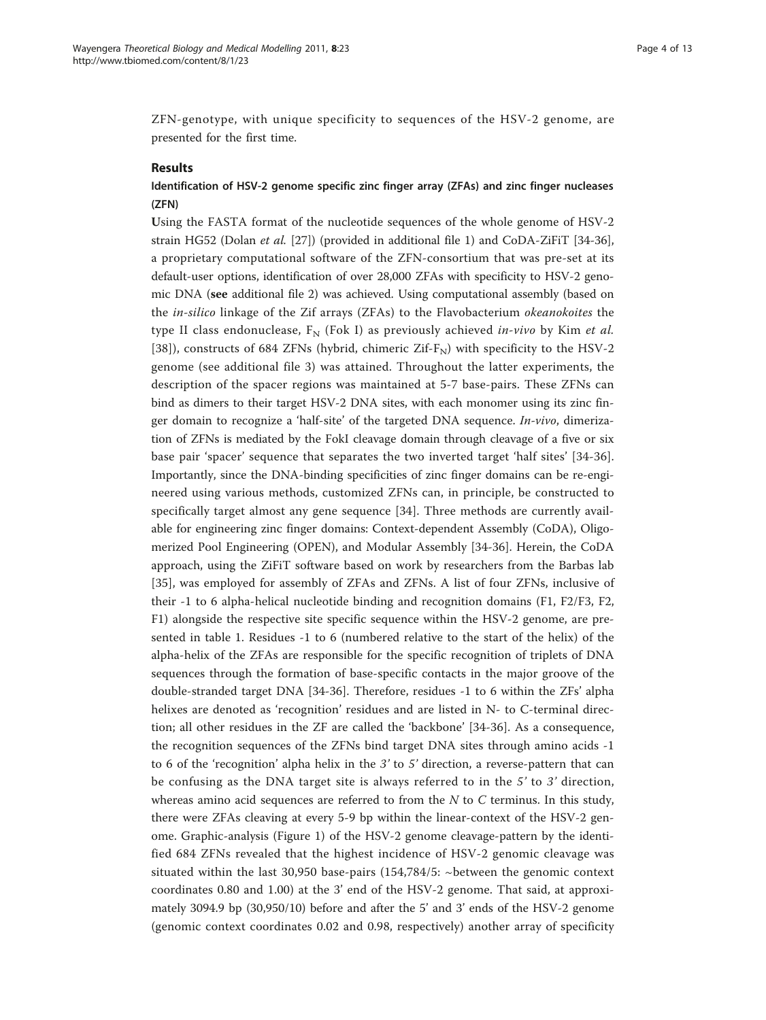ZFN-genotype, with unique specificity to sequences of the HSV-2 genome, are presented for the first time.

# Results

# Identification of HSV-2 genome specific zinc finger array (ZFAs) and zinc finger nucleases (ZFN)

Using the FASTA format of the nucleotide sequences of the whole genome of HSV-2 strain HG52 (Dolan et al. [\[27](#page-11-0)]) (provided in additional file [1](#page-9-0)) and CoDA-ZiFiT [\[34](#page-11-0)-[36](#page-11-0)], a proprietary computational software of the ZFN-consortium that was pre-set at its default-user options, identification of over 28,000 ZFAs with specificity to HSV-2 genomic DNA (see additional file [2\)](#page-9-0) was achieved. Using computational assembly (based on the in-silico linkage of the Zif arrays (ZFAs) to the Flavobacterium okeanokoites the type II class endonuclease,  $F_N$  (Fok I) as previously achieved in-vivo by Kim et al. [[38\]](#page-11-0)), constructs of 684 ZFNs (hybrid, chimeric Zif- $F_N$ ) with specificity to the HSV-2 genome (see additional file [3](#page-9-0)) was attained. Throughout the latter experiments, the description of the spacer regions was maintained at 5-7 base-pairs. These ZFNs can bind as dimers to their target HSV-2 DNA sites, with each monomer using its zinc finger domain to recognize a 'half-site' of the targeted DNA sequence. In-vivo, dimerization of ZFNs is mediated by the FokI cleavage domain through cleavage of a five or six base pair 'spacer' sequence that separates the two inverted target 'half sites' [\[34](#page-11-0)-[36](#page-11-0)]. Importantly, since the DNA-binding specificities of zinc finger domains can be re-engineered using various methods, customized ZFNs can, in principle, be constructed to specifically target almost any gene sequence [[34\]](#page-11-0). Three methods are currently available for engineering zinc finger domains: Context-dependent Assembly (CoDA), Oligomerized Pool Engineering (OPEN), and Modular Assembly [[34-36\]](#page-11-0). Herein, the CoDA approach, using the ZiFiT software based on work by researchers from the Barbas lab [[35\]](#page-11-0), was employed for assembly of ZFAs and ZFNs. A list of four ZFNs, inclusive of their -1 to 6 alpha-helical nucleotide binding and recognition domains (F1, F2/F3, F2, F1) alongside the respective site specific sequence within the HSV-2 genome, are presented in table [1.](#page-4-0) Residues -1 to 6 (numbered relative to the start of the helix) of the alpha-helix of the ZFAs are responsible for the specific recognition of triplets of DNA sequences through the formation of base-specific contacts in the major groove of the double-stranded target DNA [[34-36](#page-11-0)]. Therefore, residues -1 to 6 within the ZFs' alpha helixes are denoted as 'recognition' residues and are listed in N- to C-terminal direction; all other residues in the ZF are called the 'backbone' [[34-36\]](#page-11-0). As a consequence, the recognition sequences of the ZFNs bind target DNA sites through amino acids -1 to 6 of the 'recognition' alpha helix in the 3' to 5' direction, a reverse-pattern that can be confusing as the DNA target site is always referred to in the 5' to 3' direction, whereas amino acid sequences are referred to from the  $N$  to  $C$  terminus. In this study, there were ZFAs cleaving at every 5-9 bp within the linear-context of the HSV-2 genome. Graphic-analysis (Figure [1\)](#page-4-0) of the HSV-2 genome cleavage-pattern by the identified 684 ZFNs revealed that the highest incidence of HSV-2 genomic cleavage was situated within the last 30,950 base-pairs (154,784/5: ~between the genomic context coordinates 0.80 and 1.00) at the 3' end of the HSV-2 genome. That said, at approximately 3094.9 bp (30,950/10) before and after the 5' and 3' ends of the HSV-2 genome (genomic context coordinates 0.02 and 0.98, respectively) another array of specificity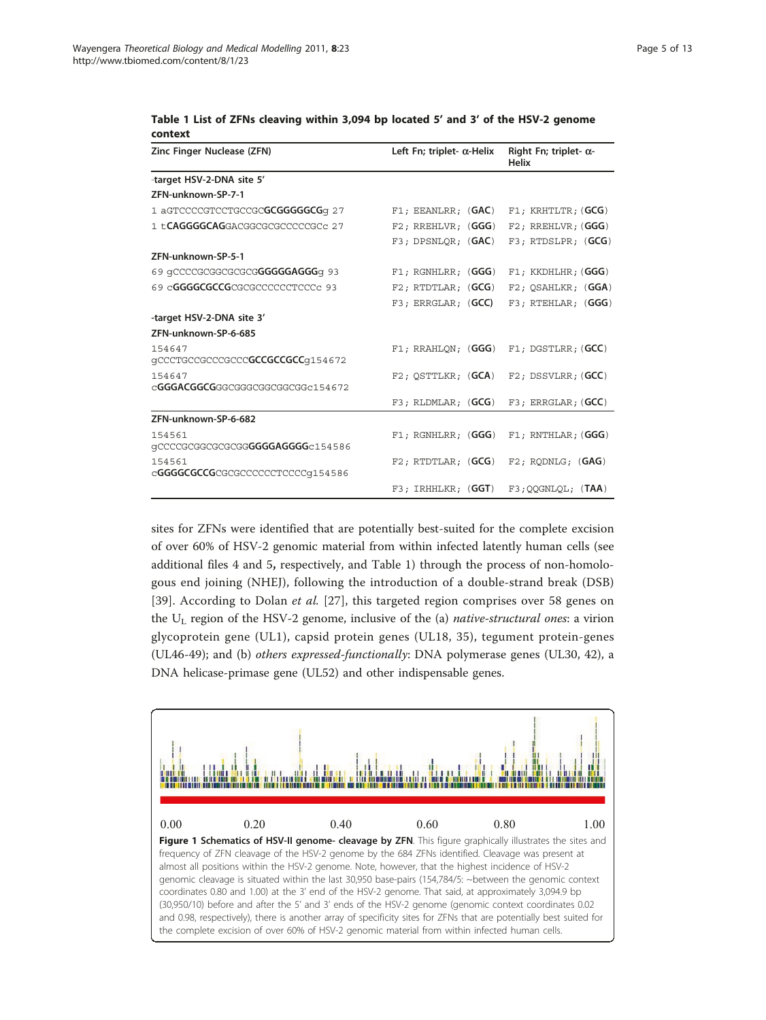| Zinc Finger Nuclease (ZFN)                    | Left Fn; triplet- $\alpha$ -Helix | Right Fn; triplet- $\alpha$ -<br><b>Helix</b> |
|-----------------------------------------------|-----------------------------------|-----------------------------------------------|
| -target HSV-2-DNA site 5'                     |                                   |                                               |
| ZFN-unknown-SP-7-1                            |                                   |                                               |
| 1 aGTCCCCGTCCTGCCGCGCGGGGGCGG 27              | $F1$ ; EEANLRR; $(GAC)$           | $F1$ ; KRHTLTR; (GCG)                         |
| 1 t. <b>CAGGGGCAG</b> GACGGCGCGCCCCCCGC 27    | $F2$ ; RREHLVR; $(GGG)$           | $F2$ ; RREHLVR; (GGG)                         |
|                                               | $F3$ ; DPSNLQR; $(GAC)$           | $F3$ ; RTDSLPR; $(GCG)$                       |
| ZFN-unknown-SP-5-1                            |                                   |                                               |
| 69 qCCCCGCGGCGCGCGGGGGGAGGGq 93               | $F1$ ; RGNHLRR; (GGG)             | F1; KKDHLHR; (GGG)                            |
| 69 c <b>GGGGCGCCG</b> CGCGCCCCCCCTCCCc 93     | $F2$ ; RTDTLAR; $(GCG)$           | F2; QSAHLKR; (GGA)                            |
|                                               | $F3$ ; ERRGLAR; $(GCC)$           | F3; RTEHLAR; (GGG)                            |
| -target HSV-2-DNA site 3'                     |                                   |                                               |
| ZFN-unknown-SP-6-685                          |                                   |                                               |
| 154647<br>qCCCTGCCGCCCGCCCGCCGCCGCCGCCq154672 | $F1$ ; RRAHLON; (GGG)             | $F1$ ; DGSTLRR; (GCC)                         |
| 154647<br>cGGGACGGCGGGGGGGGGGGGGGGG-154672    | $F2$ ; OSTTLKR; $(GCA)$           | $F2$ ; DSSVLRR; $(GCC)$                       |
|                                               | $F3$ ; RLDMLAR; $(GCG)$           | $F3$ ; ERRGLAR; $(GCC)$                       |
| ZFN-unknown-SP-6-682                          |                                   |                                               |
| 154561<br>gCCCCGCGCGCGCGGGGGGGAGGGGc154586    | $F1$ ; RGNHLRR; (GGG)             | $F1$ ; RNTHLAR; $(GGG)$                       |
| 154561<br>cGGGGCGCCGCGCGCCCCCCTCCCCq154586    | $F2$ ; RTDTLAR; $(GCG)$           | $F2$ ; RODNLG; $(GAG)$                        |
|                                               | $F3$ ; IRHHLKR; $(GGT)$           | $F3$ ; OOGNLOL; $(TAA)$                       |

<span id="page-4-0"></span>Table 1 List of ZFNs cleaving within 3,094 bp located 5' and 3' of the HSV-2 genome context

sites for ZFNs were identified that are potentially best-suited for the complete excision of over 60% of HSV-2 genomic material from within infected latently human cells (see additional files [4](#page-9-0) and [5](#page-9-0), respectively, and Table 1) through the process of non-homologous end joining (NHEJ), following the introduction of a double-strand break (DSB) [[39\]](#page-11-0). According to Dolan *et al.* [[27](#page-11-0)], this targeted region comprises over 58 genes on the  $U_L$  region of the HSV-2 genome, inclusive of the (a) *native-structural ones*: a virion glycoprotein gene (UL1), capsid protein genes (UL18, 35), tegument protein-genes (UL46-49); and (b) others expressed-functionally: DNA polymerase genes (UL30, 42), a DNA helicase-primase gene (UL52) and other indispensable genes.

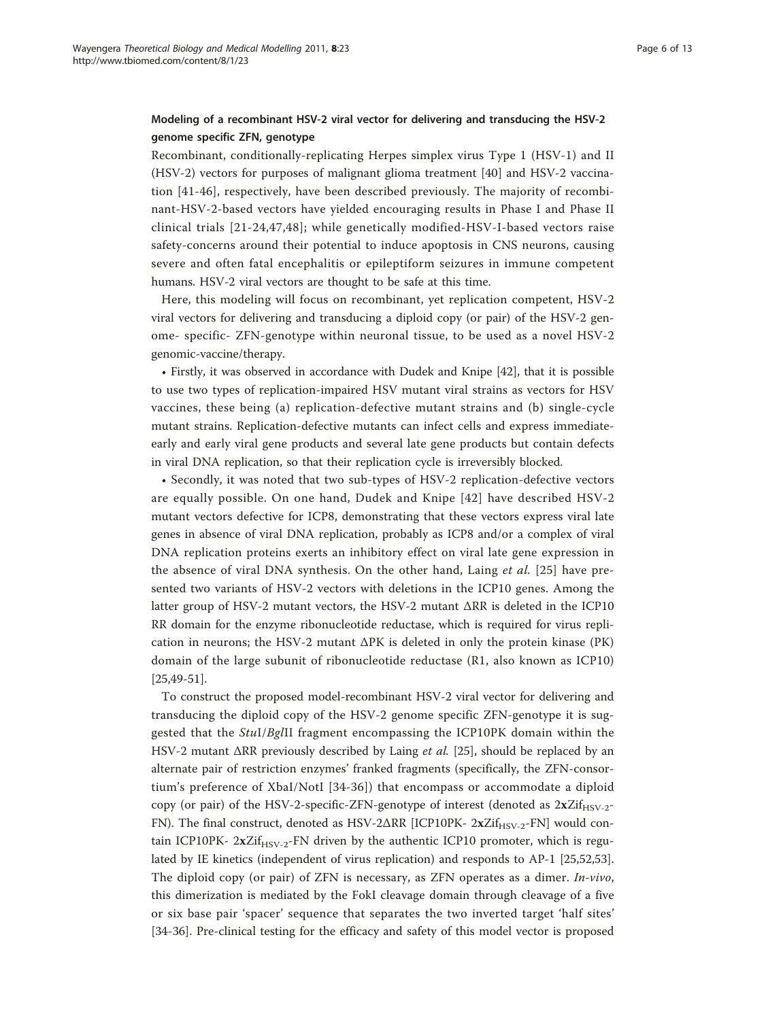# Modeling of a recombinant HSV-2 viral vector for delivering and transducing the HSV-2 genome specific ZFN, genotype

Recombinant, conditionally-replicating Herpes simplex virus Type 1 (HSV-1) and II (HSV-2) vectors for purposes of malignant glioma treatment [\[40](#page-11-0)] and HSV-2 vaccination [\[41-46](#page-11-0)], respectively, have been described previously. The majority of recombinant-HSV-2-based vectors have yielded encouraging results in Phase I and Phase II clinical trials [[21-](#page-10-0)[24,47,48\]](#page-11-0); while genetically modified-HSV-I-based vectors raise safety-concerns around their potential to induce apoptosis in CNS neurons, causing severe and often fatal encephalitis or epileptiform seizures in immune competent humans. HSV-2 viral vectors are thought to be safe at this time.

Here, this modeling will focus on recombinant, yet replication competent, HSV-2 viral vectors for delivering and transducing a diploid copy (or pair) of the HSV-2 genome- specific- ZFN-genotype within neuronal tissue, to be used as a novel HSV-2 genomic-vaccine/therapy.

• Firstly, it was observed in accordance with Dudek and Knipe [\[42](#page-11-0)], that it is possible to use two types of replication-impaired HSV mutant viral strains as vectors for HSV vaccines, these being (a) replication-defective mutant strains and (b) single-cycle mutant strains. Replication-defective mutants can infect cells and express immediateearly and early viral gene products and several late gene products but contain defects in viral DNA replication, so that their replication cycle is irreversibly blocked.

• Secondly, it was noted that two sub-types of HSV-2 replication-defective vectors are equally possible. On one hand, Dudek and Knipe [[42](#page-11-0)] have described HSV-2 mutant vectors defective for ICP8, demonstrating that these vectors express viral late genes in absence of viral DNA replication, probably as ICP8 and/or a complex of viral DNA replication proteins exerts an inhibitory effect on viral late gene expression in the absence of viral DNA synthesis. On the other hand, Laing et al. [[25](#page-11-0)] have presented two variants of HSV-2 vectors with deletions in the ICP10 genes. Among the latter group of HSV-2 mutant vectors, the HSV-2 mutant ΔRR is deleted in the ICP10 RR domain for the enzyme ribonucleotide reductase, which is required for virus replication in neurons; the HSV-2 mutant ΔPK is deleted in only the protein kinase (PK) domain of the large subunit of ribonucleotide reductase (R1, also known as ICP10) [[25,49](#page-11-0)-[51\]](#page-11-0).

To construct the proposed model-recombinant HSV-2 viral vector for delivering and transducing the diploid copy of the HSV-2 genome specific ZFN-genotype it is suggested that the StuI/BglII fragment encompassing the ICP10PK domain within the HSV-2 mutant ΔRR previously described by Laing et al. [[25\]](#page-11-0), should be replaced by an alternate pair of restriction enzymes' franked fragments (specifically, the ZFN-consortium's preference of XbaI/NotI [[34](#page-11-0)-[36](#page-11-0)]) that encompass or accommodate a diploid copy (or pair) of the HSV-2-specific-ZFN-genotype of interest (denoted as  $2xZif_{HSV-2}$ -FN). The final construct, denoted as HSV-2ΔRR [ICP10PK- 2xZif<sub>HSV-2</sub>-FN] would contain ICP10PK-  $2xZif_{HSV-2}$ -FN driven by the authentic ICP10 promoter, which is regulated by IE kinetics (independent of virus replication) and responds to AP-1 [[25](#page-11-0),[52](#page-11-0),[53](#page-11-0)]. The diploid copy (or pair) of ZFN is necessary, as ZFN operates as a dimer. *In-vivo*, this dimerization is mediated by the FokI cleavage domain through cleavage of a five or six base pair 'spacer' sequence that separates the two inverted target 'half sites' [[34-36](#page-11-0)]. Pre-clinical testing for the efficacy and safety of this model vector is proposed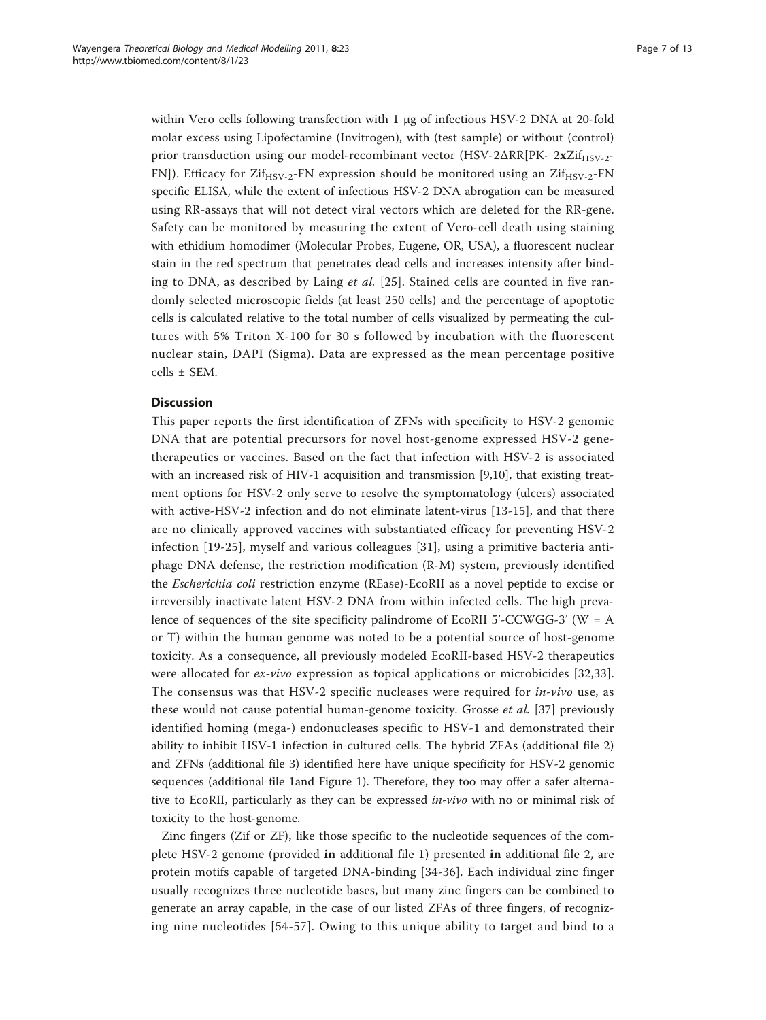within Vero cells following transfection with 1 μg of infectious HSV-2 DNA at 20-fold molar excess using Lipofectamine (Invitrogen), with (test sample) or without (control) prior transduction using our model-recombinant vector (HSV-2 $\Delta RR[PK-2xZif_{HSV-2}$ -FN]). Efficacy for  $Zif_{HSV-2}$ -FN expression should be monitored using an  $Zif_{HSV-2}$ -FN specific ELISA, while the extent of infectious HSV-2 DNA abrogation can be measured using RR-assays that will not detect viral vectors which are deleted for the RR-gene. Safety can be monitored by measuring the extent of Vero-cell death using staining with ethidium homodimer (Molecular Probes, Eugene, OR, USA), a fluorescent nuclear stain in the red spectrum that penetrates dead cells and increases intensity after bind-ing to DNA, as described by Laing et al. [[25](#page-11-0)]. Stained cells are counted in five randomly selected microscopic fields (at least 250 cells) and the percentage of apoptotic cells is calculated relative to the total number of cells visualized by permeating the cultures with 5% Triton X-100 for 30 s followed by incubation with the fluorescent nuclear stain, DAPI (Sigma). Data are expressed as the mean percentage positive cells ± SEM.

# **Discussion**

This paper reports the first identification of ZFNs with specificity to HSV-2 genomic DNA that are potential precursors for novel host-genome expressed HSV-2 genetherapeutics or vaccines. Based on the fact that infection with HSV-2 is associated with an increased risk of HIV-1 acquisition and transmission [[9,10\]](#page-10-0), that existing treatment options for HSV-2 only serve to resolve the symptomatology (ulcers) associated with active-HSV-2 infection and do not eliminate latent-virus [[13](#page-10-0)-[15\]](#page-10-0), and that there are no clinically approved vaccines with substantiated efficacy for preventing HSV-2 infection [\[19-](#page-10-0)[25](#page-11-0)], myself and various colleagues [[31](#page-11-0)], using a primitive bacteria antiphage DNA defense, the restriction modification (R-M) system, previously identified the Escherichia coli restriction enzyme (REase)-EcoRII as a novel peptide to excise or irreversibly inactivate latent HSV-2 DNA from within infected cells. The high prevalence of sequences of the site specificity palindrome of EcoRII 5'-CCWGG-3' (W = A or T) within the human genome was noted to be a potential source of host-genome toxicity. As a consequence, all previously modeled EcoRII-based HSV-2 therapeutics were allocated for *ex-vivo* expression as topical applications or microbicides [[32,33](#page-11-0)]. The consensus was that HSV-2 specific nucleases were required for in-vivo use, as these would not cause potential human-genome toxicity. Grosse et al. [[37\]](#page-11-0) previously identified homing (mega-) endonucleases specific to HSV-1 and demonstrated their ability to inhibit HSV-1 infection in cultured cells. The hybrid ZFAs (additional file [2](#page-9-0)) and ZFNs (additional file [3\)](#page-9-0) identified here have unique specificity for HSV-2 genomic sequences (additional file [1a](#page-9-0)nd Figure [1\)](#page-4-0). Therefore, they too may offer a safer alternative to EcoRII, particularly as they can be expressed *in-vivo* with no or minimal risk of toxicity to the host-genome.

Zinc fingers (Zif or ZF), like those specific to the nucleotide sequences of the complete HSV-2 genome (provided in additional file [1\)](#page-9-0) presented in additional file [2](#page-9-0), are protein motifs capable of targeted DNA-binding [[34-36\]](#page-11-0). Each individual zinc finger usually recognizes three nucleotide bases, but many zinc fingers can be combined to generate an array capable, in the case of our listed ZFAs of three fingers, of recognizing nine nucleotides [[54-](#page-11-0)[57\]](#page-12-0). Owing to this unique ability to target and bind to a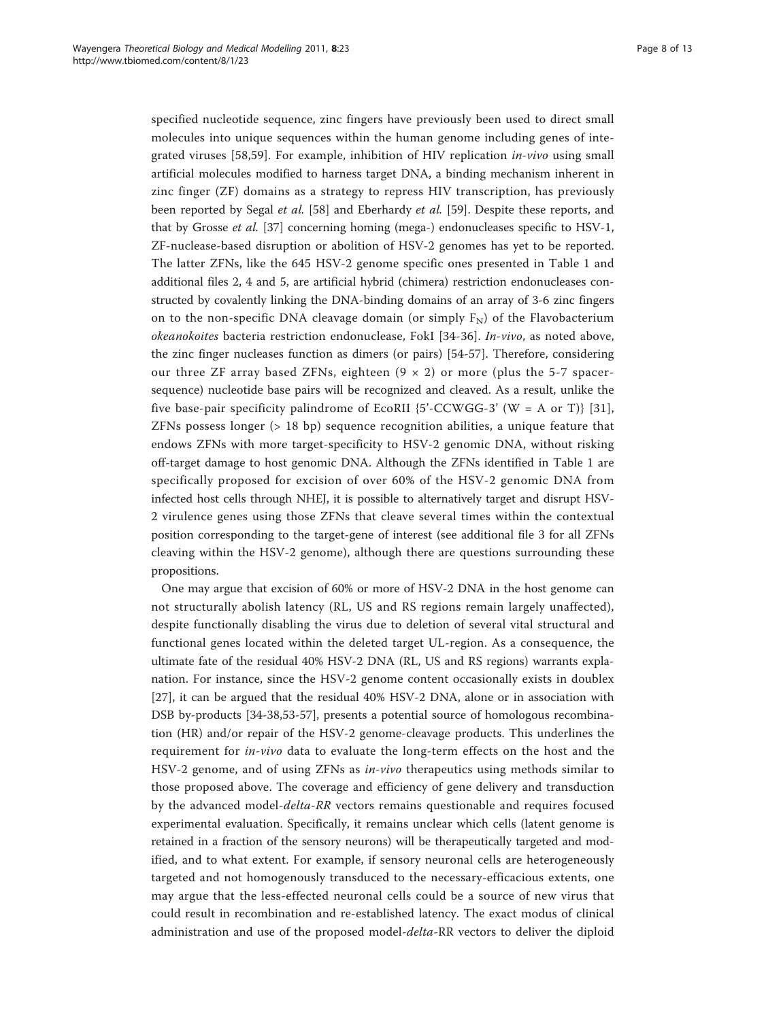specified nucleotide sequence, zinc fingers have previously been used to direct small molecules into unique sequences within the human genome including genes of inte-grated viruses [[58,59](#page-12-0)]. For example, inhibition of HIV replication  $in-vivo$  using small artificial molecules modified to harness target DNA, a binding mechanism inherent in zinc finger (ZF) domains as a strategy to repress HIV transcription, has previously been reported by Segal et al. [\[58](#page-12-0)] and Eberhardy et al. [[59\]](#page-12-0). Despite these reports, and that by Grosse et al. [[37](#page-11-0)] concerning homing (mega-) endonucleases specific to HSV-1, ZF-nuclease-based disruption or abolition of HSV-2 genomes has yet to be reported. The latter ZFNs, like the 645 HSV-2 genome specific ones presented in Table [1](#page-4-0) and additional files [2, 4](#page-9-0) and [5,](#page-9-0) are artificial hybrid (chimera) restriction endonucleases constructed by covalently linking the DNA-binding domains of an array of 3-6 zinc fingers on to the non-specific DNA cleavage domain (or simply  $F_N$ ) of the Flavobacterium okeanokoites bacteria restriction endonuclease, FokI [[34-36](#page-11-0)]. In-vivo, as noted above, the zinc finger nucleases function as dimers (or pairs) [[54](#page-11-0)[-57](#page-12-0)]. Therefore, considering our three ZF array based ZFNs, eighteen  $(9 \times 2)$  or more (plus the 5-7 spacersequence) nucleotide base pairs will be recognized and cleaved. As a result, unlike the five base-pair specificity palindrome of EcoRII  ${5'-CCWGG-3'}$  (W = A or T) [[31](#page-11-0)], ZFNs possess longer (> 18 bp) sequence recognition abilities, a unique feature that endows ZFNs with more target-specificity to HSV-2 genomic DNA, without risking off-target damage to host genomic DNA. Although the ZFNs identified in Table [1](#page-4-0) are specifically proposed for excision of over 60% of the HSV-2 genomic DNA from infected host cells through NHEJ, it is possible to alternatively target and disrupt HSV-2 virulence genes using those ZFNs that cleave several times within the contextual position corresponding to the target-gene of interest (see additional file [3](#page-9-0) for all ZFNs cleaving within the HSV-2 genome), although there are questions surrounding these propositions.

One may argue that excision of 60% or more of HSV-2 DNA in the host genome can not structurally abolish latency (RL, US and RS regions remain largely unaffected), despite functionally disabling the virus due to deletion of several vital structural and functional genes located within the deleted target UL-region. As a consequence, the ultimate fate of the residual 40% HSV-2 DNA (RL, US and RS regions) warrants explanation. For instance, since the HSV-2 genome content occasionally exists in doublex [[27\]](#page-11-0), it can be argued that the residual 40% HSV-2 DNA, alone or in association with DSB by-products [\[34](#page-11-0)-[38,53-](#page-11-0)[57](#page-12-0)], presents a potential source of homologous recombination (HR) and/or repair of the HSV-2 genome-cleavage products. This underlines the requirement for in-vivo data to evaluate the long-term effects on the host and the HSV-2 genome, and of using ZFNs as in-vivo therapeutics using methods similar to those proposed above. The coverage and efficiency of gene delivery and transduction by the advanced model-delta-RR vectors remains questionable and requires focused experimental evaluation. Specifically, it remains unclear which cells (latent genome is retained in a fraction of the sensory neurons) will be therapeutically targeted and modified, and to what extent. For example, if sensory neuronal cells are heterogeneously targeted and not homogenously transduced to the necessary-efficacious extents, one may argue that the less-effected neuronal cells could be a source of new virus that could result in recombination and re-established latency. The exact modus of clinical administration and use of the proposed model-delta-RR vectors to deliver the diploid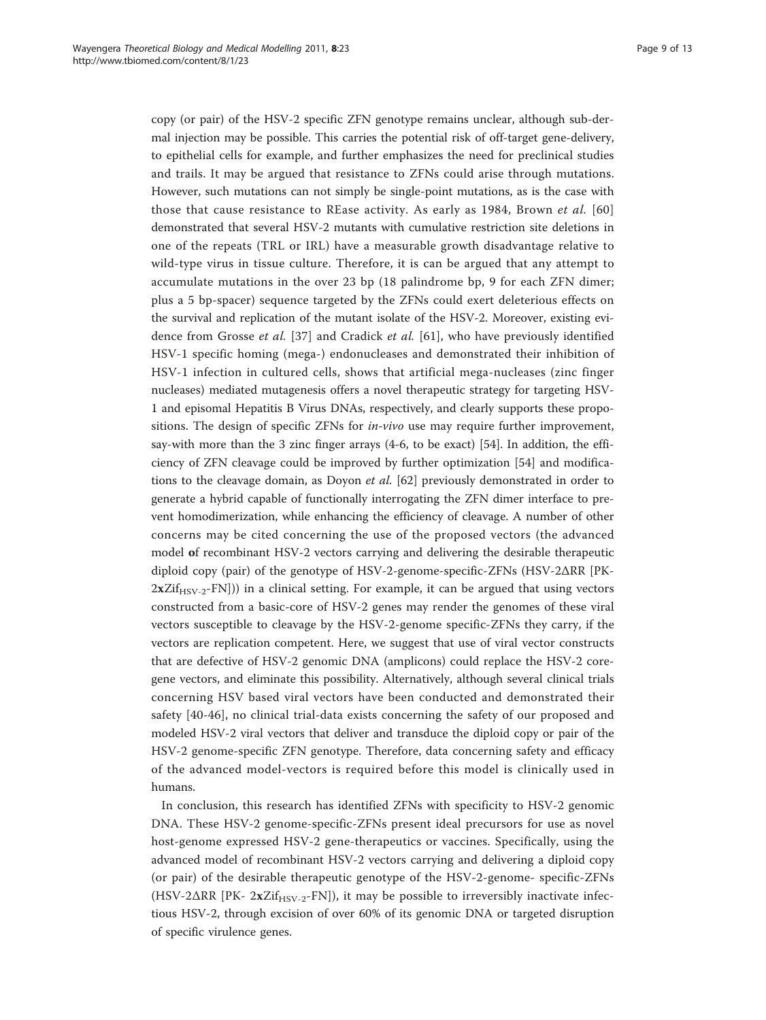copy (or pair) of the HSV-2 specific ZFN genotype remains unclear, although sub-dermal injection may be possible. This carries the potential risk of off-target gene-delivery, to epithelial cells for example, and further emphasizes the need for preclinical studies and trails. It may be argued that resistance to ZFNs could arise through mutations. However, such mutations can not simply be single-point mutations, as is the case with those that cause resistance to REase activity. As early as 1984, Brown et al. [[60](#page-12-0)] demonstrated that several HSV-2 mutants with cumulative restriction site deletions in one of the repeats (TRL or IRL) have a measurable growth disadvantage relative to wild-type virus in tissue culture. Therefore, it is can be argued that any attempt to accumulate mutations in the over 23 bp (18 palindrome bp, 9 for each ZFN dimer; plus a 5 bp-spacer) sequence targeted by the ZFNs could exert deleterious effects on the survival and replication of the mutant isolate of the HSV-2. Moreover, existing evidence from Grosse et al. [[37\]](#page-11-0) and Cradick et al. [\[61](#page-12-0)], who have previously identified HSV-1 specific homing (mega-) endonucleases and demonstrated their inhibition of HSV-1 infection in cultured cells, shows that artificial mega-nucleases (zinc finger nucleases) mediated mutagenesis offers a novel therapeutic strategy for targeting HSV-1 and episomal Hepatitis B Virus DNAs, respectively, and clearly supports these propositions. The design of specific ZFNs for  $in$ -vivo use may require further improvement, say-with more than the 3 zinc finger arrays (4-6, to be exact) [\[54\]](#page-11-0). In addition, the efficiency of ZFN cleavage could be improved by further optimization [\[54](#page-11-0)] and modifications to the cleavage domain, as Doyon et al. [[62\]](#page-12-0) previously demonstrated in order to generate a hybrid capable of functionally interrogating the ZFN dimer interface to prevent homodimerization, while enhancing the efficiency of cleavage. A number of other concerns may be cited concerning the use of the proposed vectors (the advanced model of recombinant HSV-2 vectors carrying and delivering the desirable therapeutic diploid copy (pair) of the genotype of HSV-2-genome-specific-ZFNs (HSV-2ΔRR [PK- $2xZif_{HSV-2}-FN$ ])) in a clinical setting. For example, it can be argued that using vectors constructed from a basic-core of HSV-2 genes may render the genomes of these viral vectors susceptible to cleavage by the HSV-2-genome specific-ZFNs they carry, if the vectors are replication competent. Here, we suggest that use of viral vector constructs that are defective of HSV-2 genomic DNA (amplicons) could replace the HSV-2 coregene vectors, and eliminate this possibility. Alternatively, although several clinical trials concerning HSV based viral vectors have been conducted and demonstrated their safety [[40](#page-11-0)-[46\]](#page-11-0), no clinical trial-data exists concerning the safety of our proposed and modeled HSV-2 viral vectors that deliver and transduce the diploid copy or pair of the HSV-2 genome-specific ZFN genotype. Therefore, data concerning safety and efficacy of the advanced model-vectors is required before this model is clinically used in humans.

In conclusion, this research has identified ZFNs with specificity to HSV-2 genomic DNA. These HSV-2 genome-specific-ZFNs present ideal precursors for use as novel host-genome expressed HSV-2 gene-therapeutics or vaccines. Specifically, using the advanced model of recombinant HSV-2 vectors carrying and delivering a diploid copy (or pair) of the desirable therapeutic genotype of the HSV-2-genome- specific-ZFNs (HSV-2 $\Delta$ RR [PK-  $2xZif_{HSV-2}$ -FN]), it may be possible to irreversibly inactivate infectious HSV-2, through excision of over 60% of its genomic DNA or targeted disruption of specific virulence genes.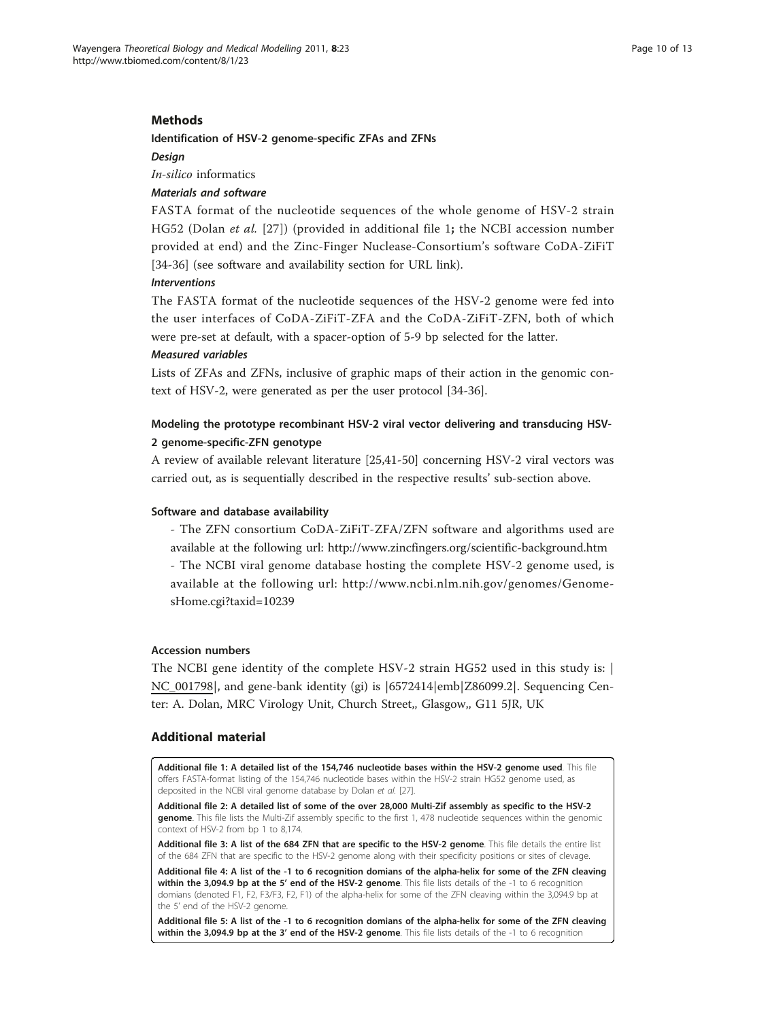# <span id="page-9-0"></span>Methods

### Identification of HSV-2 genome-specific ZFAs and ZFNs

Design

In-silico informatics

# Materials and software

FASTA format of the nucleotide sequences of the whole genome of HSV-2 strain HG52 (Dolan et al. [\[27](#page-11-0)]) (provided in additional file 1; the NCBI accession number provided at end) and the Zinc-Finger Nuclease-Consortium's software CoDA-ZiFiT [[34-36\]](#page-11-0) (see software and availability section for URL link).

### Interventions

The FASTA format of the nucleotide sequences of the HSV-2 genome were fed into the user interfaces of CoDA-ZiFiT-ZFA and the CoDA-ZiFiT-ZFN, both of which were pre-set at default, with a spacer-option of 5-9 bp selected for the latter. Measured variables

Lists of ZFAs and ZFNs, inclusive of graphic maps of their action in the genomic context of HSV-2, were generated as per the user protocol [[34-36\]](#page-11-0).

# Modeling the prototype recombinant HSV-2 viral vector delivering and transducing HSV-2 genome-specific-ZFN genotype

A review of available relevant literature [\[25,41-50](#page-11-0)] concerning HSV-2 viral vectors was carried out, as is sequentially described in the respective results' sub-section above.

# Software and database availability

- The ZFN consortium CoDA-ZiFiT-ZFA/ZFN software and algorithms used are available at the following url:<http://www.zincfingers.org/scientific-background.htm> - The NCBI viral genome database hosting the complete HSV-2 genome used, is

available at the following url: [http://www.ncbi.nlm.nih.gov/genomes/Genome](http://www.ncbi.nlm.nih.gov/genomes/GenomesHome.cgi?taxid=10239)[sHome.cgi?taxid=10239](http://www.ncbi.nlm.nih.gov/genomes/GenomesHome.cgi?taxid=10239)

# Accession numbers

The NCBI gene identity of the complete HSV-2 strain HG52 used in this study is: | NC\_001798|, and gene-bank identity (gi) is |6572414|emb|Z86099.2|. Sequencing Center: A. Dolan, MRC Virology Unit, Church Street,, Glasgow,, G11 5JR, UK

# Additional material

[Additional file 1: A](http://www.biomedcentral.com/content/supplementary/1742-4682-8-23-S1.DOC) detailed list of the 154,746 nucleotide bases within the HSV-2 genome used. This file offers FASTA-format listing of the 154,746 nucleotide bases within the HSV-2 strain HG52 genome used, as deposited in the NCBI viral genome database by Dolan et al. [\[27\]](#page-11-0).

[Additional file 2: A](http://www.biomedcentral.com/content/supplementary/1742-4682-8-23-S2.PDF) detailed list of some of the over 28,000 Multi-Zif assembly as specific to the HSV-2 genome. This file lists the Multi-Zif assembly specific to the first 1, 478 nucleotide sequences within the genomic context of HSV-2 from bp 1 to 8,174.

[Additional file 3: A](http://www.biomedcentral.com/content/supplementary/1742-4682-8-23-S3.PDF) list of the 684 ZFN that are specific to the HSV-2 genome. This file details the entire list of the 684 ZFN that are specific to the HSV-2 genome along with their specificity positions or sites of clevage.

[Additional file 4: A](http://www.biomedcentral.com/content/supplementary/1742-4682-8-23-S4.PDF) list of the -1 to 6 recognition domians of the alpha-helix for some of the ZFN cleaving within the 3,094.9 bp at the 5' end of the HSV-2 genome. This file lists details of the -1 to 6 recognition domians (denoted F1, F2, F3/F3, F2, F1) of the alpha-helix for some of the ZFN cleaving within the 3,094.9 bp at the 5' end of the HSV-2 genome.

[Additional file 5: A](http://www.biomedcentral.com/content/supplementary/1742-4682-8-23-S5.PDF) list of the -1 to 6 recognition domians of the alpha-helix for some of the ZFN cleaving within the 3,094.9 bp at the 3' end of the HSV-2 genome. This file lists details of the -1 to 6 recognition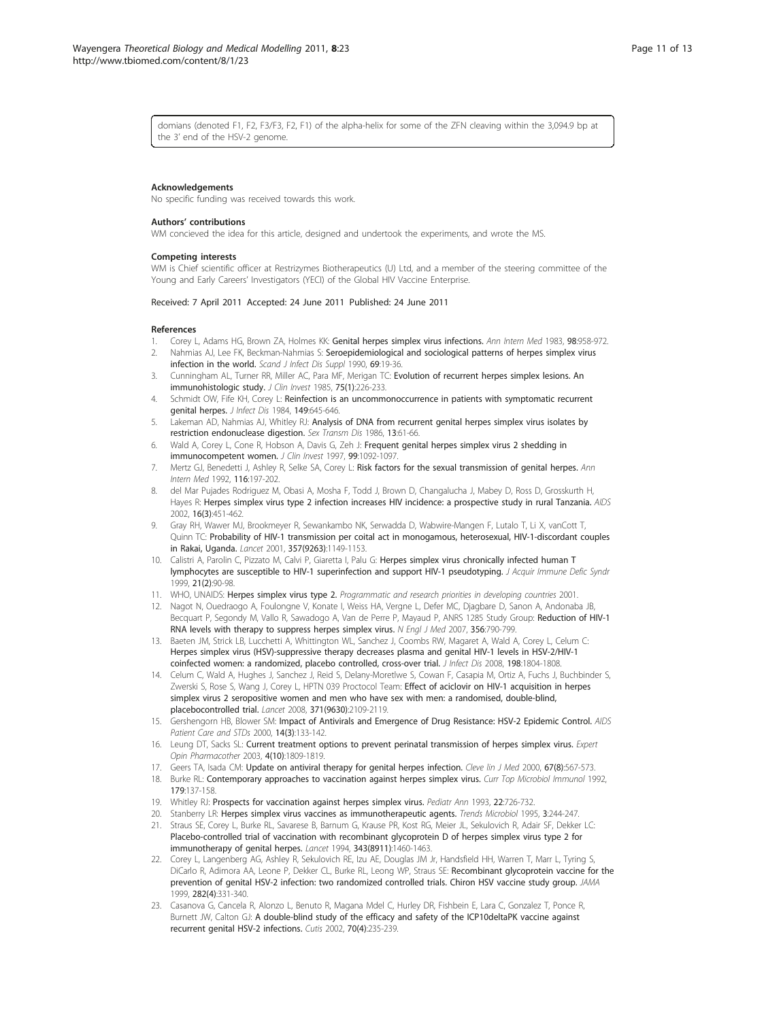<span id="page-10-0"></span>domians (denoted F1, F2, F3/F3, F2, F1) of the alpha-helix for some of the ZFN cleaving within the 3,094.9 bp at the 3' end of the HSV-2 genome.

### Acknowledgements

No specific funding was received towards this work.

### Authors' contributions

WM concieved the idea for this article, designed and undertook the experiments, and wrote the MS.

### Competing interests

WM is Chief scientific officer at Restrizymes Biotherapeutics (U) Ltd, and a member of the steering committee of the Young and Early Careers' Investigators (YECI) of the Global HIV Vaccine Enterprise.

### Received: 7 April 2011 Accepted: 24 June 2011 Published: 24 June 2011

### References

- 1. Corey L, Adams HG, Brown ZA, Holmes KK: [Genital herpes simplex virus infections.](http://www.ncbi.nlm.nih.gov/pubmed/6344712?dopt=Abstract) Ann Intern Med 1983, 98:958-972.
- 2. Nahmias AJ, Lee FK, Beckman-Nahmias S: [Seroepidemiological and sociological patterns of herpes simplex virus](http://www.ncbi.nlm.nih.gov/pubmed/2175939?dopt=Abstract) [infection in the world.](http://www.ncbi.nlm.nih.gov/pubmed/2175939?dopt=Abstract) Scand J Infect Dis Suppl 1990, 69:19-36.
- 3. Cunningham AL, Turner RR, Miller AC, Para MF, Merigan TC: [Evolution of recurrent herpes simplex lesions. An](http://www.ncbi.nlm.nih.gov/pubmed/3880773?dopt=Abstract) [immunohistologic study.](http://www.ncbi.nlm.nih.gov/pubmed/3880773?dopt=Abstract) J Clin Invest 1985, 75(1):226-233.
- 4. Schmidt OW, Fife KH, Corey L: [Reinfection is an uncommonoccurrence in patients with symptomatic recurrent](http://www.ncbi.nlm.nih.gov/pubmed/6327838?dopt=Abstract) [genital herpes.](http://www.ncbi.nlm.nih.gov/pubmed/6327838?dopt=Abstract) J Infect Dis 1984, 149:645-646.
- 5. Lakeman AD, Nahmias AJ, Whitley RJ: [Analysis of DNA from recurrent genital herpes simplex virus isolates by](http://www.ncbi.nlm.nih.gov/pubmed/3012807?dopt=Abstract) [restriction endonuclease digestion.](http://www.ncbi.nlm.nih.gov/pubmed/3012807?dopt=Abstract) Sex Transm Dis 1986, 13:61-66.
- 6. Wald A, Corey L, Cone R, Hobson A, Davis G, Zeh J: [Frequent genital herpes simplex virus 2 shedding in](http://www.ncbi.nlm.nih.gov/pubmed/9062368?dopt=Abstract) [immunocompetent women.](http://www.ncbi.nlm.nih.gov/pubmed/9062368?dopt=Abstract) J Clin Invest 1997, 99:1092-1097.
- 7. Mertz GJ, Benedetti J, Ashley R, Selke SA, Corey L: [Risk factors for the sexual transmission of genital herpes.](http://www.ncbi.nlm.nih.gov/pubmed/1309413?dopt=Abstract) Ann Intern Med 1992, 116:197-202.
- 8. del Mar Pujades Rodriguez M, Obasi A, Mosha F, Todd J, Brown D, Changalucha J, Mabey D, Ross D, Grosskurth H, Hayes R: [Herpes simplex virus type 2 infection increases HIV incidence: a prospective study in rural Tanzania.](http://www.ncbi.nlm.nih.gov/pubmed/11834958?dopt=Abstract) AIDS 2002, 16(3):451-462.
- 9. Gray RH, Wawer MJ, Brookmeyer R, Sewankambo NK, Serwadda D, Wabwire-Mangen F, Lutalo T, Li X, vanCott T, Quinn TC: [Probability of HIV-1 transmission per coital act in monogamous, heterosexual, HIV-1-discordant couples](http://www.ncbi.nlm.nih.gov/pubmed/11323041?dopt=Abstract) [in Rakai, Uganda.](http://www.ncbi.nlm.nih.gov/pubmed/11323041?dopt=Abstract) Lancet 2001, 357(9263):1149-1153.
- 10. Calistri A, Parolin C, Pizzato M, Calvi P, Giaretta I, Palu G: [Herpes simplex virus chronically infected human T](http://www.ncbi.nlm.nih.gov/pubmed/10360799?dopt=Abstract) [lymphocytes are susceptible to HIV-1 superinfection and support HIV-1 pseudotyping.](http://www.ncbi.nlm.nih.gov/pubmed/10360799?dopt=Abstract) J Acquir Immune Defic Syndr 1999, 21(2):90-98.
- 11. WHO, UNAIDS: Herpes simplex virus type 2. Programmatic and research priorities in developing countries 2001.
- 12. Nagot N, Ouedraogo A, Foulongne V, Konate I, Weiss HA, Vergne L, Defer MC, Djagbare D, Sanon A, Andonaba JB, Becquart P, Segondy M, Vallo R, Sawadogo A, Van de Perre P, Mayaud P, ANRS 1285 Study Group: [Reduction of HIV-1](http://www.ncbi.nlm.nih.gov/pubmed/17314338?dopt=Abstract) [RNA levels with therapy to suppress herpes simplex virus.](http://www.ncbi.nlm.nih.gov/pubmed/17314338?dopt=Abstract) N Engl J Med 2007, 356:790-799.
- 13. Baeten JM, Strick LB, Lucchetti A, Whittington WL, Sanchez J, Coombs RW, Magaret A, Wald A, Corey L, Celum C: [Herpes simplex virus \(HSV\)-suppressive therapy decreases plasma and genital HIV-1 levels in HSV-2/HIV-1](http://www.ncbi.nlm.nih.gov/pubmed/18928378?dopt=Abstract) [coinfected women: a randomized, placebo controlled, cross-over trial.](http://www.ncbi.nlm.nih.gov/pubmed/18928378?dopt=Abstract) *J Infect Dis* 2008, 198:1804-1808.
- 14. Celum C, Wald A, Hughes J, Sanchez J, Reid S, Delany-Moretlwe S, Cowan F, Casapia M, Ortiz A, Fuchs J, Buchbinder S, Zwerski S, Rose S, Wang J, Corey L, HPTN 039 Proctocol Team: [Effect of aciclovir on HIV-1 acquisition in herpes](http://www.ncbi.nlm.nih.gov/pubmed/18572080?dopt=Abstract) [simplex virus 2 seropositive women and men who have sex with men: a randomised, double-blind,](http://www.ncbi.nlm.nih.gov/pubmed/18572080?dopt=Abstract) [placebocontrolled trial.](http://www.ncbi.nlm.nih.gov/pubmed/18572080?dopt=Abstract) Lancet 2008, 371(9630):2109-2119.
- 15. Gershengorn HB, Blower SM: [Impact of Antivirals and Emergence of Drug Resistance: HSV-2 Epidemic Control.](http://www.ncbi.nlm.nih.gov/pubmed/10763542?dopt=Abstract) AIDS Patient Care and STDs 2000, 14(3):133-142.
- 16. Leung DT, Sacks SL: [Current treatment options to prevent perinatal transmission of herpes simplex virus.](http://www.ncbi.nlm.nih.gov/pubmed/14521490?dopt=Abstract) Expert Opin Pharmacother 2003, 4(10):1809-1819.
- 17. Geers TA, Isada CM: Update on antiviral therapy for genital herpes infection. Cleve lin J Med 2000, 67(8):567-573.
- 18. Burke RL: [Contemporary approaches to vaccination against herpes simplex virus.](http://www.ncbi.nlm.nih.gov/pubmed/1499347?dopt=Abstract) Curr Top Microbiol Immunol 1992, 179:137-158.
- 19. Whitley RJ: [Prospects for vaccination against herpes simplex virus.](http://www.ncbi.nlm.nih.gov/pubmed/8139874?dopt=Abstract) Pediatr Ann 1993, 22:726-732.
- 20. Stanberry LR: [Herpes simplex virus vaccines as immunotherapeutic agents.](http://www.ncbi.nlm.nih.gov/pubmed/7648034?dopt=Abstract) Trends Microbiol 1995, 3:244-247.
- 21. Straus SE, Corey L, Burke RL, Savarese B, Barnum G, Krause PR, Kost RG, Meier JL, Sekulovich R, Adair SF, Dekker LC: [Placebo-controlled trial of vaccination with recombinant glycoprotein D of herpes simplex virus type 2 for](http://www.ncbi.nlm.nih.gov/pubmed/7911177?dopt=Abstract) [immunotherapy of genital herpes.](http://www.ncbi.nlm.nih.gov/pubmed/7911177?dopt=Abstract) Lancet 1994, 343(8911):1460-1463.
- 22. Corey L, Langenberg AG, Ashley R, Sekulovich RE, Izu AE, Douglas JM Jr, Handsfield HH, Warren T, Marr L, Tyring S, DiCarlo R, Adimora AA, Leone P, Dekker CL, Burke RL, Leong WP, Straus SE: [Recombinant glycoprotein vaccine for the](http://www.ncbi.nlm.nih.gov/pubmed/10432030?dopt=Abstract) [prevention of genital HSV-2 infection: two randomized controlled trials. Chiron HSV vaccine study group.](http://www.ncbi.nlm.nih.gov/pubmed/10432030?dopt=Abstract) JAMA 1999, 282(4):331-340.
- 23. Casanova G, Cancela R, Alonzo L, Benuto R, Magana Mdel C, Hurley DR, Fishbein E, Lara C, Gonzalez T, Ponce R, Burnett JW, Calton GJ: [A double-blind study of the efficacy and safety of the ICP10deltaPK vaccine against](http://www.ncbi.nlm.nih.gov/pubmed/12403316?dopt=Abstract) [recurrent genital HSV-2 infections.](http://www.ncbi.nlm.nih.gov/pubmed/12403316?dopt=Abstract) Cutis 2002, 70(4):235-239.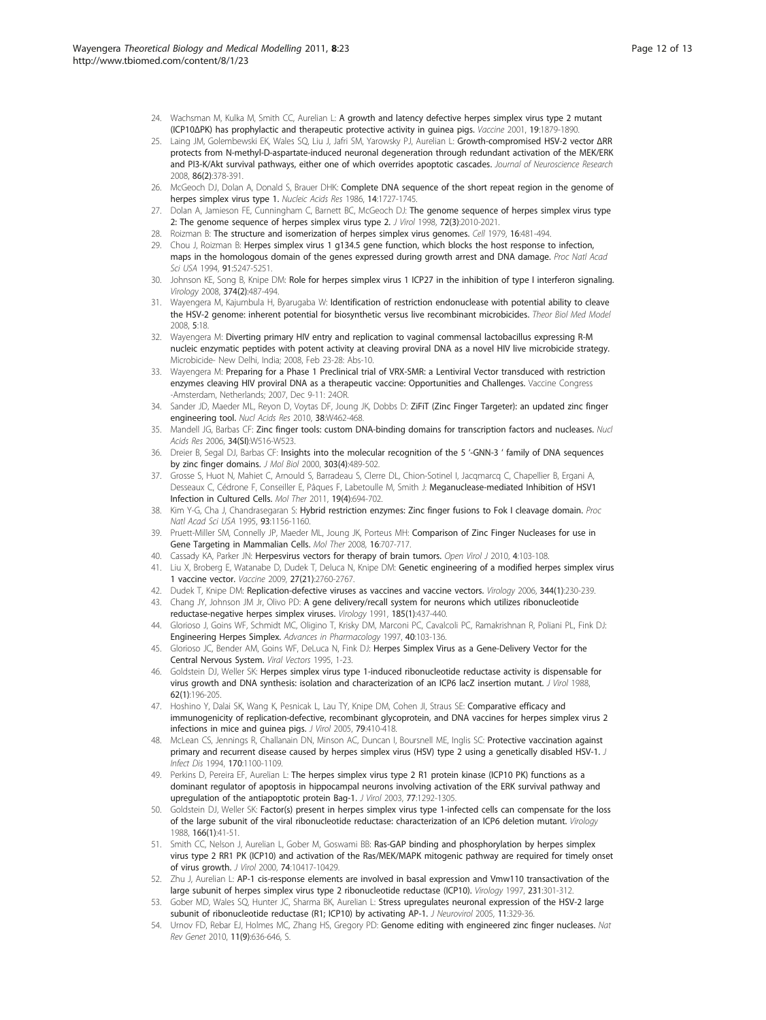- <span id="page-11-0"></span>24. Wachsman M, Kulka M, Smith CC, Aurelian L: [A growth and latency defective herpes simplex virus type 2 mutant](http://www.ncbi.nlm.nih.gov/pubmed/11228357?dopt=Abstract) (ICP10Δ[PK\) has prophylactic and therapeutic protective activity in guinea pigs.](http://www.ncbi.nlm.nih.gov/pubmed/11228357?dopt=Abstract) Vaccine 2001, 19:1879-1890.
- 25. Laing JM, Golembewski EK, Wales SQ, Liu J, Jafri SM, Yarowsky PJ, Aurelian L: [Growth-compromised HSV-2 vector](http://www.ncbi.nlm.nih.gov/pubmed/17893911?dopt=Abstract) ΔRR [protects from N-methyl-D-aspartate-induced neuronal degeneration through redundant activation of the MEK/ERK](http://www.ncbi.nlm.nih.gov/pubmed/17893911?dopt=Abstract) [and PI3-K/Akt survival pathways, either one of which overrides apoptotic cascades.](http://www.ncbi.nlm.nih.gov/pubmed/17893911?dopt=Abstract) Journal of Neuroscience Research 2008, 86(2):378-391.
- 26. McGeoch DJ, Dolan A, Donald S, Brauer DHK: [Complete DNA sequence of the short repeat region in the genome of](http://www.ncbi.nlm.nih.gov/pubmed/3005980?dopt=Abstract) [herpes simplex virus type 1.](http://www.ncbi.nlm.nih.gov/pubmed/3005980?dopt=Abstract) Nucleic Acids Res 1986, 14:1727-1745.
- 27. Dolan A, Jamieson FE, Cunningham C, Barnett BC, McGeoch DJ: [The genome sequence of herpes simplex virus type](http://www.ncbi.nlm.nih.gov/pubmed/9499055?dopt=Abstract) [2: The genome sequence of herpes simplex virus type 2.](http://www.ncbi.nlm.nih.gov/pubmed/9499055?dopt=Abstract) J Virol 1998, 72(3):2010-2021.
- 28. Roizman B: [The structure and isomerization of herpes simplex virus genomes.](http://www.ncbi.nlm.nih.gov/pubmed/222462?dopt=Abstract) Cell 1979, 16:481-494.
- 29. Chou J, Roizman B: [Herpes simplex virus 1 g134.5 gene function, which blocks the host response to infection,](http://www.ncbi.nlm.nih.gov/pubmed/8202476?dopt=Abstract) [maps in the homologous domain of the genes expressed during growth arrest and DNA damage.](http://www.ncbi.nlm.nih.gov/pubmed/8202476?dopt=Abstract) Proc Natl Acad Sci USA 1994, 91:5247-5251.
- 30. Johnson KE, Song B, Knipe DM: [Role for herpes simplex virus 1 ICP27 in the inhibition of type I interferon signaling.](http://www.ncbi.nlm.nih.gov/pubmed/18279905?dopt=Abstract) Virology 2008, 374(2):487-494.
- 31. Wayengera M, Kajumbula H, Byarugaba W: [Identification of restriction endonuclease with potential ability to cleave](http://www.ncbi.nlm.nih.gov/pubmed/18687114?dopt=Abstract) [the HSV-2 genome: inherent potential for biosynthetic versus live recombinant microbicides.](http://www.ncbi.nlm.nih.gov/pubmed/18687114?dopt=Abstract) Theor Biol Med Model 2008, 5:18.
- 32. Wayengera M: Diverting primary HIV entry and replication to vaginal commensal lactobacillus expressing R-M nucleic enzymatic peptides with potent activity at cleaving proviral DNA as a novel HIV live microbicide strategy. Microbicide- New Delhi, India; 2008, Feb 23-28: Abs-10.
- 33. Wayengera M: Preparing for a Phase 1 Preclinical trial of VRX-SMR: a Lentiviral Vector transduced with restriction enzymes cleaving HIV proviral DNA as a therapeutic vaccine: Opportunities and Challenges. Vaccine Congress -Amsterdam, Netherlands; 2007, Dec 9-11: 24OR.
- 34. Sander JD, Maeder ML, Reyon D, Voytas DF, Joung JK, Dobbs D: [ZiFiT \(Zinc Finger Targeter\): an updated zinc finger](http://www.ncbi.nlm.nih.gov/pubmed/20435679?dopt=Abstract) [engineering tool.](http://www.ncbi.nlm.nih.gov/pubmed/20435679?dopt=Abstract) Nucl Acids Res 2010, 38:W462-468.
- 35. Mandell JG, Barbas CF: [Zinc finger tools: custom DNA-binding domains for transcription factors and nucleases.](http://www.ncbi.nlm.nih.gov/pubmed/16845061?dopt=Abstract) Nucl Acids Res 2006, 34(SI):W516-W523.
- 36. Dreier B, Segal DJ, Barbas CF: [Insights into the molecular recognition of the 5](http://www.ncbi.nlm.nih.gov/pubmed/11054286?dopt=Abstract) '-GNN-3 ' family of DNA sequences [by zinc finger domains.](http://www.ncbi.nlm.nih.gov/pubmed/11054286?dopt=Abstract) J Mol Biol 2000, 303(4):489-502.
- 37. Grosse S, Huot N, Mahiet C, Arnould S, Barradeau S, Clerre DL, Chion-Sotinel I, Jacqmarcq C, Chapellier B, Ergani A, Desseaux C, Cédrone F, Conseiller E, Pâques F, Labetoulle M, Smith J: [Meganuclease-mediated Inhibition of HSV1](http://www.ncbi.nlm.nih.gov/pubmed/21224832?dopt=Abstract) [Infection in Cultured Cells.](http://www.ncbi.nlm.nih.gov/pubmed/21224832?dopt=Abstract) Mol Ther 2011, 19(4):694-702.
- 38. Kim Y-G, Cha J, Chandrasegaran S: Hybrid restriction enzymes: Zinc finger fusions to Fok I cleavage domain. Proc Natl Acad Sci USA 1995, 93:1156-1160.
- 39. Pruett-Miller SM, Connelly JP, Maeder ML, Joung JK, Porteus MH: [Comparison of Zinc Finger Nucleases for use in](http://www.ncbi.nlm.nih.gov/pubmed/18334988?dopt=Abstract) [Gene Targeting in Mammalian Cells.](http://www.ncbi.nlm.nih.gov/pubmed/18334988?dopt=Abstract) Mol Ther 2008, 16:707-717.
- 40. Cassady KA, Parker JN: [Herpesvirus vectors for therapy of brain tumors.](http://www.ncbi.nlm.nih.gov/pubmed/20811578?dopt=Abstract) Open Virol J 2010, 4:103-108.
- 41. Liu X, Broberg E, Watanabe D, Dudek T, Deluca N, Knipe DM: [Genetic engineering of a modified herpes simplex virus](http://www.ncbi.nlm.nih.gov/pubmed/19428888?dopt=Abstract) [1 vaccine vector.](http://www.ncbi.nlm.nih.gov/pubmed/19428888?dopt=Abstract) Vaccine 2009, 27(21):2760-2767.
- 42. Dudek T, Knipe DM: [Replication-defective viruses as vaccines and vaccine vectors.](http://www.ncbi.nlm.nih.gov/pubmed/16364753?dopt=Abstract) Virology 2006, 344(1):230-239. 43. Chang JY, Johnson JM Jr, Olivo PD: [A gene delivery/recall system for neurons which utilizes ribonucleotide](http://www.ncbi.nlm.nih.gov/pubmed/1656596?dopt=Abstract)
- [reductase-negative herpes simplex viruses.](http://www.ncbi.nlm.nih.gov/pubmed/1656596?dopt=Abstract) Virology 1991, 185(1):437-440.
- 44. Glorioso J, Goins WF, Schmidt MC, Oligino T, Krisky DM, Marconi PC, Cavalcoli PC, Ramakrishnan R, Poliani PL, Fink DJ: [Engineering Herpes Simplex.](http://www.ncbi.nlm.nih.gov/pubmed/9217925?dopt=Abstract) Advances in Pharmacology 1997, 40:103-136.
- 45. Glorioso JC, Bender AM, Goins WF, DeLuca N, Fink DJ: Herpes Simplex Virus as a Gene-Delivery Vector for the Central Nervous System. Viral Vectors 1995, 1-23.
- 46. Goldstein DJ, Weller SK: [Herpes simplex virus type 1-induced ribonucleotide reductase activity is dispensable for](http://www.ncbi.nlm.nih.gov/pubmed/2824847?dopt=Abstract) [virus growth and DNA synthesis: isolation and characterization of an ICP6 lacZ insertion mutant.](http://www.ncbi.nlm.nih.gov/pubmed/2824847?dopt=Abstract) J Virol 1988, 62(1):196-205.
- 47. Hoshino Y, Dalai SK, Wang K, Pesnicak L, Lau TY, Knipe DM, Cohen Jl, Straus SE: [Comparative efficacy and](http://www.ncbi.nlm.nih.gov/pubmed/15596834?dopt=Abstract) [immunogenicity of replication-defective, recombinant glycoprotein, and DNA vaccines for herpes simplex virus 2](http://www.ncbi.nlm.nih.gov/pubmed/15596834?dopt=Abstract) [infections in mice and guinea pigs.](http://www.ncbi.nlm.nih.gov/pubmed/15596834?dopt=Abstract) J Virol 2005, 79:410-418.
- 48. McLean CS, Jennings R, Challanain DN, Minson AC, Duncan I, Boursnell ME, Inglis SC: [Protective vaccination against](http://www.ncbi.nlm.nih.gov/pubmed/7963701?dopt=Abstract) [primary and recurrent disease caused by herpes simplex virus \(HSV\) type 2 using a genetically disabled HSV-1.](http://www.ncbi.nlm.nih.gov/pubmed/7963701?dopt=Abstract) J Infect Dis 1994, 170:1100-1109.
- 49. Perkins D, Pereira EF, Aurelian L: [The herpes simplex virus type 2 R1 protein kinase \(ICP10 PK\) functions as a](http://www.ncbi.nlm.nih.gov/pubmed/12502846?dopt=Abstract) [dominant regulator of apoptosis in hippocampal neurons involving activation of the ERK survival pathway and](http://www.ncbi.nlm.nih.gov/pubmed/12502846?dopt=Abstract) [upregulation of the antiapoptotic protein Bag-1.](http://www.ncbi.nlm.nih.gov/pubmed/12502846?dopt=Abstract) J Virol 2003, 77:1292-1305.
- 50. Goldstein DJ, Weller SK: [Factor\(s\) present in herpes simplex virus type 1-infected cells can compensate for the loss](http://www.ncbi.nlm.nih.gov/pubmed/2842955?dopt=Abstract) [of the large subunit of the viral ribonucleotide reductase: characterization of an ICP6 deletion mutant.](http://www.ncbi.nlm.nih.gov/pubmed/2842955?dopt=Abstract) Virology 1988, 166(1):41-51.
- 51. Smith CC, Nelson J, Aurelian L, Gober M, Goswami BB: [Ras-GAP binding and phosphorylation by herpes simplex](http://www.ncbi.nlm.nih.gov/pubmed/11044086?dopt=Abstract) [virus type 2 RR1 PK \(ICP10\) and activation of the Ras/MEK/MAPK mitogenic pathway are required for timely onset](http://www.ncbi.nlm.nih.gov/pubmed/11044086?dopt=Abstract) [of virus growth.](http://www.ncbi.nlm.nih.gov/pubmed/11044086?dopt=Abstract) J Virol 2000, 74:10417-10429.
- 52. Zhu J, Aurelian L: [AP-1 cis-response elements are involved in basal expression and Vmw110 transactivation of the](http://www.ncbi.nlm.nih.gov/pubmed/9168892?dopt=Abstract) [large subunit of herpes simplex virus type 2 ribonucleotide reductase \(ICP10\).](http://www.ncbi.nlm.nih.gov/pubmed/9168892?dopt=Abstract) Virology 1997, 231:301-312
- 53. Gober MD, Wales SQ, Hunter JC, Sharma BK, Aurelian L: [Stress upregulates neuronal expression of the HSV-2 large](http://www.ncbi.nlm.nih.gov/pubmed/16162476?dopt=Abstract) [subunit of ribonucleotide reductase \(R1; ICP10\) by activating AP-1.](http://www.ncbi.nlm.nih.gov/pubmed/16162476?dopt=Abstract) J Neurovirol 2005, 11:329-36.
- 54. Urnov FD, Rebar EJ, Holmes MC, Zhang HS, Gregory PD: [Genome editing with engineered zinc finger nucleases.](http://www.ncbi.nlm.nih.gov/pubmed/20717154?dopt=Abstract) Nat Rev Genet 2010, 11(9):636-646, S.